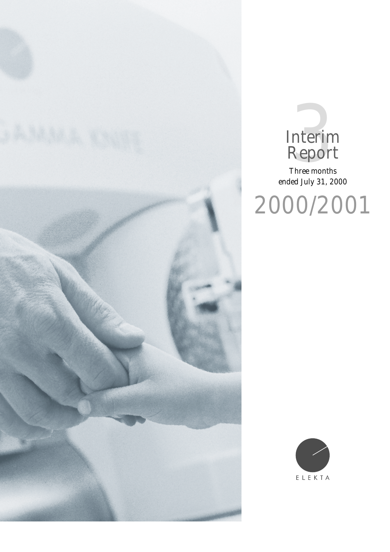



Three months ended July 31, 2000

2000/2001

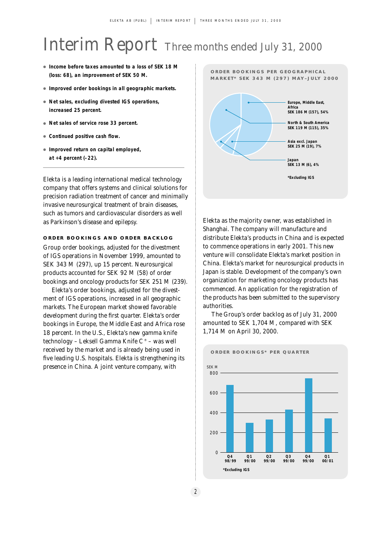# Interim Report Three months ended July 31, 2000

- **Income before taxes amounted to a loss of SEK 18 M (loss: 68), an improvement of SEK 50 M.**
- **Improved order bookings in all geographic markets.**
- **Net sales, excluding divested IGS operations, increased 25 percent.**
- **Net sales of service rose 33 percent.**
- **Continued positive cash flow.**
- **Improved return on capital employed, at +4 percent (–22).**

Elekta is a leading international medical technology company that offers systems and clinical solutions for precision radiation treatment of cancer and minimally invasive neurosurgical treatment of brain diseases, such as tumors and cardiovascular disorders as well as Parkinson's disease and epilepsy.

## **ORDER BOOKINGS AND ORDER BACKLOG**

Group order bookings, adjusted for the divestment of IGS operations in November 1999, amounted to SEK 343 M (297), up 15 percent. Neurosurgical products accounted for SEK 92 M (58) of order bookings and oncology products for SEK 251 M (239).

Elekta's order bookings, adjusted for the divestment of IGS operations, increased in all geographic markets. The European market showed favorable development during the first quarter. Elekta's order bookings in Europe, the Middle East and Africa rose 18 percent. In the U.S., Elekta's new gamma knife technology – Leksell Gamma Knife C® – was well received by the market and is already being used in five leading U.S. hospitals. Elekta is strengthening its presence in China. A joint venture company, with



**ORDER BOOKINGS PER GEOGRAPHICAL** 

Elekta as the majority owner, was established in Shanghai. The company will manufacture and distribute Elekta's products in China and is expected to commence operations in early 2001. This new venture will consolidate Elekta's market position in China. Elekta's market for neurosurgical products in Japan is stable. Development of the company's own organization for marketing oncology products has commenced. An application for the registration of the products has been submitted to the supervisory authorities.

The Group's order backlog as of July 31, 2000 amounted to SEK 1,704 M, compared with SEK 1,714 M on April 30, 2000.

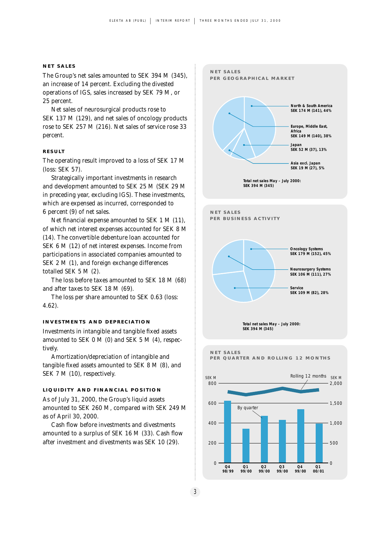#### **NET SALES**

The Group's net sales amounted to SEK 394 M (345), an increase of 14 percent. Excluding the divested operations of IGS, sales increased by SEK 79 M, or 25 percent.

Net sales of neurosurgical products rose to SEK 137 M (129), and net sales of oncology products rose to SEK 257 M (216). Net sales of service rose 33 percent.

#### **RESULT**

The operating result improved to a loss of SEK 17 M (loss: SEK 57).

Strategically important investments in research and development amounted to SEK 25 M (SEK 29 M in preceding year, excluding IGS). These investments, which are expensed as incurred, corresponded to 6 percent (9) of net sales.

Net financial expense amounted to SEK 1 M (11), of which net interest expenses accounted for SEK 8 M (14). The convertible debenture loan accounted for SEK 6 M (12) of net interest expenses. Income from participations in associated companies amounted to SEK 2 M (1), and foreign exchange differences totalled SEK 5 M (2).

The loss before taxes amounted to SEK 18 M (68) and after taxes to SEK 18 M (69).

The loss per share amounted to SEK 0.63 (loss: 4.62).

#### **INVESTMENTS AND DEPRECIATION**

Investments in intangible and tangible fixed assets amounted to SEK 0 M (0) and SEK 5 M (4), respectively.

Amortization/depreciation of intangible and tangible fixed assets amounted to SEK 8 M (8), and SEK 7 M (10), respectively.

#### **LIQUIDITY AND FINANCIAL POSITION**

As of July 31, 2000, the Group's liquid assets amounted to SEK 260 M, compared with SEK 249 M as of April 30, 2000.

Cash flow before investments and divestments amounted to a surplus of SEK 16 M (33). Cash flow after investment and divestments was SEK 10 (29).

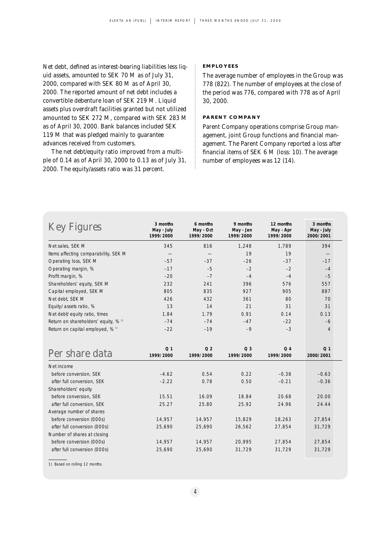Net debt, defined as interest-bearing liabilities less liquid assets, amounted to SEK 70 M as of July 31, 2000, compared with SEK 80 M as of April 30, 2000. The reported amount of net debt includes a convertible debenture loan of SEK 219 M. Liquid assets plus overdraft facilities granted but not utilized amounted to SEK 272 M, compared with SEK 283 M as of April 30, 2000. Bank balances included SEK 119 M that was pledged mainly to guarantee advances received from customers.

The net debt/equity ratio improved from a multiple of 0.14 as of April 30, 2000 to 0.13 as of July 31, 2000. The equity/assets ratio was 31 percent.

#### **EMPLOYEES**

The average number of employees in the Group was 778 (822). The number of employees at the close of the period was 776, compared with 778 as of April 30, 2000.

#### **PARENT COMPANY**

Parent Company operations comprise Group management, joint Group functions and financial management. The Parent Company reported a loss after financial items of SEK 6 M (loss: 10). The average number of employees was 12 (14).

| <b>Key Figures</b>                   | 3 months<br>May - July<br>1999/2000 | 6 months<br>May - Oct<br>1999/2000 | 9 months<br>May - Jan<br>1999/2000 | 12 months<br>May - Apr<br>1999/2000 | 3 months<br>May - July<br>2000/2001 |
|--------------------------------------|-------------------------------------|------------------------------------|------------------------------------|-------------------------------------|-------------------------------------|
| Net sales, SEK M                     | 345                                 | 816                                | 1,248                              | 1,789                               | 394                                 |
| Items affecting comparability, SEK M |                                     |                                    | 19                                 | 19                                  |                                     |
| Operating loss, SEK M                | $-57$                               | $-37$                              | $-26$                              | $-37$                               | $-17$                               |
| Operating margin, %                  | $-17$                               | $-5$                               | $-2$                               | $-2$                                | $-4$                                |
| Profit margin, %                     | $-20$                               | $-7$                               | $-4$                               | $-4$                                | $-5$                                |
| Shareholders' equity, SEK M          | 232                                 | 241                                | 396                                | 576                                 | 557                                 |
| Capital employed, SEK M              | 805                                 | 835                                | 927                                | 905                                 | 887                                 |
| Net debt, SEK M                      | 426                                 | 432                                | 361                                | 80                                  | 70                                  |
| Equity/assets ratio, %               | 13                                  | 14                                 | 21                                 | 31                                  | 31                                  |
| Net debt/equity ratio, times         | 1.84                                | 1.79                               | 0.91                               | 0.14                                | 0.13                                |
| Return on shareholders' equity, % 1) | $-74$                               | $-74$                              | $-47$                              | $-22$                               | $-6$                                |
| Return on capital employed, % 1)     | $-22$                               | $-19$                              | $-9$                               | $-3$                                | $\overline{4}$                      |
| Per share data                       | Q <sub>1</sub><br>1999/2000         | Q <sub>2</sub><br>1999/2000        | Q <sub>3</sub><br>1999/2000        | Q <sub>4</sub><br>1999/2000         | Q <sub>1</sub><br>2000/2001         |
| Net income                           |                                     |                                    |                                    |                                     |                                     |
| before conversion, SEK               | $-4.62$                             | 0.54                               | 0.22                               | $-0.38$                             | $-0.63$                             |
| after full conversion, SEK           | $-2.22$                             | 0.78                               | 0.50                               | $-0.21$                             | $-0.36$                             |
| Shareholders' equity                 |                                     |                                    |                                    |                                     |                                     |
| before conversion, SEK               | 15.51                               | 16.09                              | 18.84                              | 20.68                               | 20.00                               |
| after full conversion, SEK           | 25.27                               | 25.80                              | 25.92                              | 24.96                               | 24.44                               |
| Average number of shares             |                                     |                                    |                                    |                                     |                                     |
| before conversion (000s)             | 14,957                              | 14,957                             | 15,829                             | 18,263                              | 27,854                              |
| after full conversion (OOOs)         | 25,690                              | 25,690                             | 26,562                             | 27,854                              | 31,729                              |
| Number of shares at closing          |                                     |                                    |                                    |                                     |                                     |
| before conversion (000s)             | 14,957                              | 14,957                             | 20,995                             | 27,854                              | 27,854                              |
| after full conversion (000s)         | 25,690                              | 25,690                             | 31,729                             | 31,729                              | 31,729                              |

1) Based on rolling 12 months.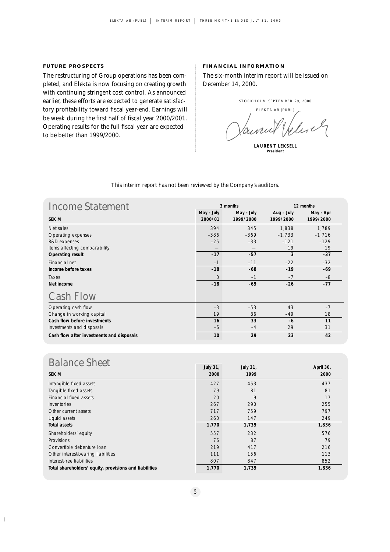# **FUTURE PROSPECTS**

The restructuring of Group operations has been completed, and Elekta is now focusing on creating growth with continuing stringent cost control. As announced earlier, these efforts are expected to generate satisfactory profitability toward fiscal year-end. Earnings will be weak during the first half of fiscal year 2000/2001. Operating results for the full fiscal year are expected to be better than 1999/2000.

## **FINANCIAL INFORMATION**

The six-month interim report will be issued on December 14, 2000.

STOCKHOLM SEPTEMBER 29, 2000

ELEKTA AB (PUBL) Welisch

**LAURENT LEKSELL President**

| <b>Income Statement</b>                   | 3 months              |                         |                         | 12 months              |  |
|-------------------------------------------|-----------------------|-------------------------|-------------------------|------------------------|--|
| <b>SEK M</b>                              | May - July<br>2000/01 | May - July<br>1999/2000 | Aug - July<br>1999/2000 | May - Apr<br>1999/2000 |  |
| Net sales                                 | 394                   | 345                     | 1,838                   | 1,789                  |  |
| Operating expenses                        | $-386$                | $-369$                  | $-1,733$                | $-1,716$               |  |
| R&D expenses                              | $-25$                 | $-33$                   | $-121$                  | $-129$                 |  |
| Items affecting comparability             |                       |                         | 19                      | 19                     |  |
| <b>Operating result</b>                   | $-17$                 | $-57$                   | 3                       | $-37$                  |  |
| Financial net                             | $-1$                  | $-11$                   | $-22$                   | $-32$                  |  |
| Income before taxes                       | $-18$                 | $-68$                   | $-19$                   | $-69$                  |  |
| Taxes                                     | $\Omega$              | $-1$                    | $-7$                    | $-8$                   |  |
| Net income                                | $-18$                 | $-69$                   | $-26$                   | $-77$                  |  |
| <b>Cash Flow</b>                          |                       |                         |                         |                        |  |
| Operating cash flow                       | $-3$                  | $-53$                   | 43                      | $-7$                   |  |
| Change in working capital                 | 19                    | 86                      | $-49$                   | 18                     |  |
| Cash flow before investments              | 16                    | 33                      | $-6$                    | 11                     |  |
| Investments and disposals                 | $-6$                  | $-4$                    | 29                      | 31                     |  |
| Cash flow after investments and disposals | 10                    | 29                      | 23                      | 42                     |  |

#### *This interim report has not been reviewed by the Company's auditors.*

# **Balance Sheet**

 $\overline{1}$ 

| Daiance Direct                                         |       | July 31, | April 30, |
|--------------------------------------------------------|-------|----------|-----------|
| <b>SEK M</b>                                           | 2000  | 1999     | 2000      |
| Intangible fixed assets                                | 427   | 453      | 437       |
| Tangible fixed assets                                  | 79    | 81       | 81        |
| Financial fixed assets                                 | 20    | 9        | 17        |
| Inventories                                            | 267   | 290      | 255       |
| Other current assets                                   | 717   | 759      | 797       |
| Liquid assets                                          | 260   | 147      | 249       |
| <b>Total assets</b>                                    | 1,770 | 1,739    | 1,836     |
| Shareholders' equity                                   | 557   | 232      | 576       |
| Provisions                                             | 76    | 87       | 79        |
| Convertible debenture loan                             | 219   | 417      | 216       |
| Other interest-bearing liabilities                     | 111   | 156      | 113       |
| Interest-free liabilities                              | 807   | 847      | 852       |
| Total shareholders' equity, provisions and liabilities | 1,770 | 1,739    | 1,836     |